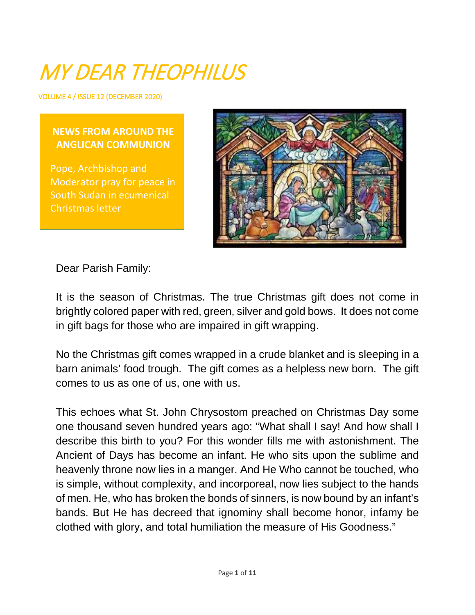# MY DEAR THEOPHILUS

VOLUME 4 / ISSUE 12 (DECEMBER 2020)

#### **NEWS FROM AROUND THE ANGLICAN COMMUNION**

Pope, Archbishop and Moderator pray for peace in South Sudan in ecumenical Christmas letter



Dear Parish Family:

It is the season of Christmas. The true Christmas gift does not come in brightly colored paper with red, green, silver and gold bows. It does not come in gift bags for those who are impaired in gift wrapping.

No the Christmas gift comes wrapped in a crude blanket and is sleeping in a barn animals' food trough. The gift comes as a helpless new born. The gift comes to us as one of us, one with us.

This echoes what St. John Chrysostom preached on Christmas Day some one thousand seven hundred years ago: "What shall I say! And how shall I describe this birth to you? For this wonder fills me with astonishment. The Ancient of Days has become an infant. He who sits upon the sublime and heavenly throne now lies in a manger. And He Who cannot be touched, who is simple, without complexity, and incorporeal, now lies subject to the hands of men. He, who has broken the bonds of sinners, is now bound by an infant's bands. But He has decreed that ignominy shall become honor, infamy be clothed with glory, and total humiliation the measure of His Goodness."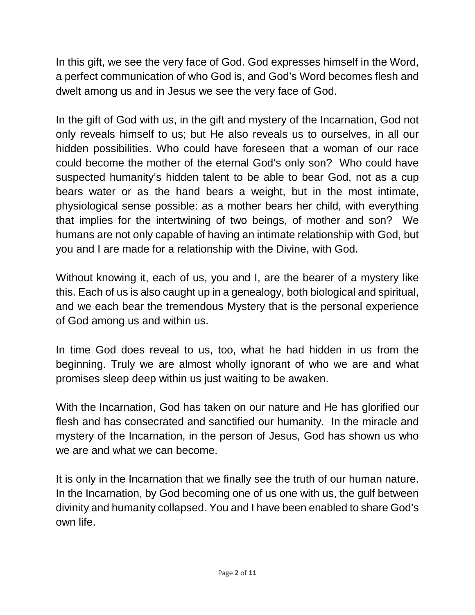In this gift, we see the very face of God. God expresses himself in the Word, a perfect communication of who God is, and God's Word becomes flesh and dwelt among us and in Jesus we see the very face of God.

In the gift of God with us, in the gift and mystery of the Incarnation, God not only reveals himself to us; but He also reveals us to ourselves, in all our hidden possibilities. Who could have foreseen that a woman of our race could become the mother of the eternal God's only son? Who could have suspected humanity's hidden talent to be able to bear God, not as a cup bears water or as the hand bears a weight, but in the most intimate, physiological sense possible: as a mother bears her child, with everything that implies for the intertwining of two beings, of mother and son? We humans are not only capable of having an intimate relationship with God, but you and I are made for a relationship with the Divine, with God.

Without knowing it, each of us, you and I, are the bearer of a mystery like this. Each of us is also caught up in a genealogy, both biological and spiritual, and we each bear the tremendous Mystery that is the personal experience of God among us and within us.

In time God does reveal to us, too, what he had hidden in us from the beginning. Truly we are almost wholly ignorant of who we are and what promises sleep deep within us just waiting to be awaken.

With the Incarnation, God has taken on our nature and He has glorified our flesh and has consecrated and sanctified our humanity. In the miracle and mystery of the Incarnation, in the person of Jesus, God has shown us who we are and what we can become.

It is only in the Incarnation that we finally see the truth of our human nature. In the Incarnation, by God becoming one of us one with us, the gulf between divinity and humanity collapsed. You and I have been enabled to share God's own life.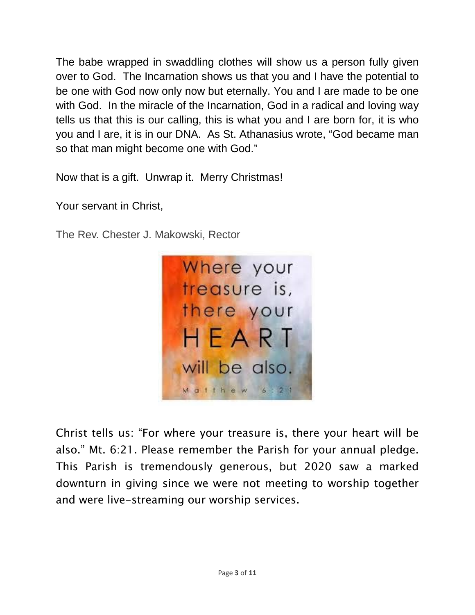The babe wrapped in swaddling clothes will show us a person fully given over to God. The Incarnation shows us that you and I have the potential to be one with God now only now but eternally. You and I are made to be one with God. In the miracle of the Incarnation, God in a radical and loving way tells us that this is our calling, this is what you and I are born for, it is who you and I are, it is in our DNA. As St. Athanasius wrote, "God became man so that man might become one with God."

Now that is a gift. Unwrap it. Merry Christmas!

Your servant in Christ,

The Rev. Chester J. Makowski, Rector



Christ tells us: "For where your treasure is, there your heart will be also." Mt. 6:21. Please remember the Parish for your annual pledge. This Parish is tremendously generous, but 2020 saw a marked downturn in giving since we were not meeting to worship together and were live-streaming our worship services.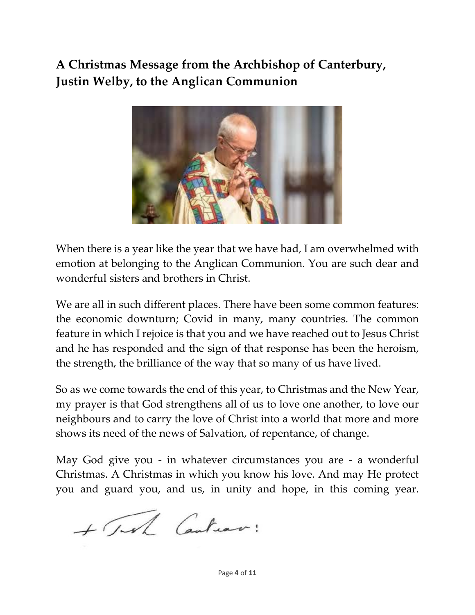# **A Christmas Message from the Archbishop of Canterbury, Justin Welby, to the Anglican Communion**



When there is a year like the year that we have had, I am overwhelmed with emotion at belonging to the Anglican Communion. You are such dear and wonderful sisters and brothers in Christ.

We are all in such different places. There have been some common features: the economic downturn; Covid in many, many countries. The common feature in which I rejoice is that you and we have reached out to Jesus Christ and he has responded and the sign of that response has been the heroism, the strength, the brilliance of the way that so many of us have lived.

So as we come towards the end of this year, to Christmas and the New Year, my prayer is that God strengthens all of us to love one another, to love our neighbours and to carry the love of Christ into a world that more and more shows its need of the news of Salvation, of repentance, of change.

May God give you - in whatever circumstances you are - a wonderful Christmas. A Christmas in which you know his love. And may He protect you and guard you, and us, in unity and hope, in this coming year.

+ Tel Canturo: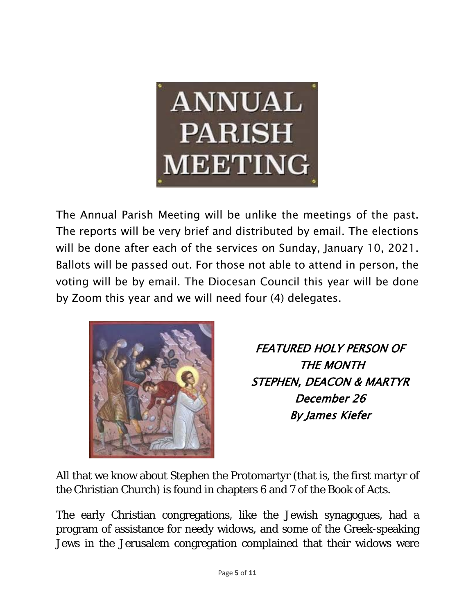

The Annual Parish Meeting will be unlike the meetings of the past. The reports will be very brief and distributed by email. The elections will be done after each of the services on Sunday, January 10, 2021. Ballots will be passed out. For those not able to attend in person, the voting will be by email. The Diocesan Council this year will be done by Zoom this year and we will need four (4) delegates.



FEATURED HOLY PERSON OF THE MONTH STEPHEN, DEACON & MARTYR December 26 By James Kiefer

All that we know about Stephen the Protomartyr (that is, the first martyr of the Christian Church) is found in chapters 6 and 7 of the Book of Acts.

The early Christian congregations, like the Jewish synagogues, had a program of assistance for needy widows, and some of the Greek-speaking Jews in the Jerusalem congregation complained that their widows were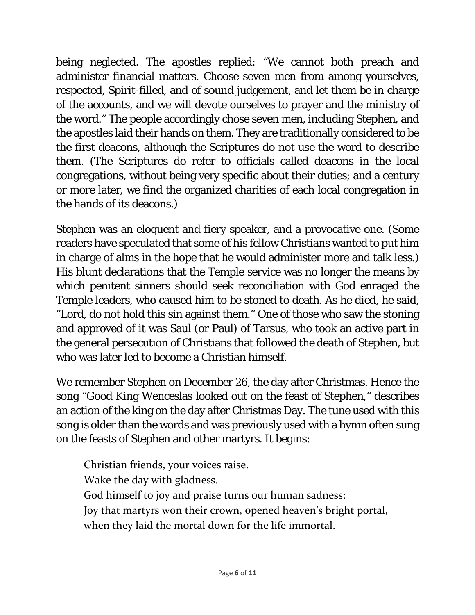being neglected. The apostles replied: "We cannot both preach and administer financial matters. Choose seven men from among yourselves, respected, Spirit-filled, and of sound judgement, and let them be in charge of the accounts, and we will devote ourselves to prayer and the ministry of the word." The people accordingly chose seven men, including Stephen, and the apostles laid their hands on them. They are traditionally considered to be the first deacons, although the Scriptures do not use the word to describe them. (The Scriptures do refer to officials called deacons in the local congregations, without being very specific about their duties; and a century or more later, we find the organized charities of each local congregation in the hands of its deacons.)

Stephen was an eloquent and fiery speaker, and a provocative one. (Some readers have speculated that some of his fellow Christians wanted to put him in charge of alms in the hope that he would administer more and talk less.) His blunt declarations that the Temple service was no longer the means by which penitent sinners should seek reconciliation with God enraged the Temple leaders, who caused him to be stoned to death. As he died, he said, "Lord, do not hold this sin against them." One of those who saw the stoning and approved of it was Saul (or Paul) of Tarsus, who took an active part in the general persecution of Christians that followed the death of Stephen, but who was later led to become a Christian himself.

We remember Stephen on December 26, the day after Christmas. Hence the song "Good King Wenceslas looked out on the feast of Stephen," describes an action of the king on the day after Christmas Day. The tune used with this song is older than the words and was previously used with a hymn often sung on the feasts of Stephen and other martyrs. It begins:

Christian friends, your voices raise. Wake the day with gladness. God himself to joy and praise turns our human sadness: Joy that martyrs won their crown, opened heaven's bright portal, when they laid the mortal down for the life immortal.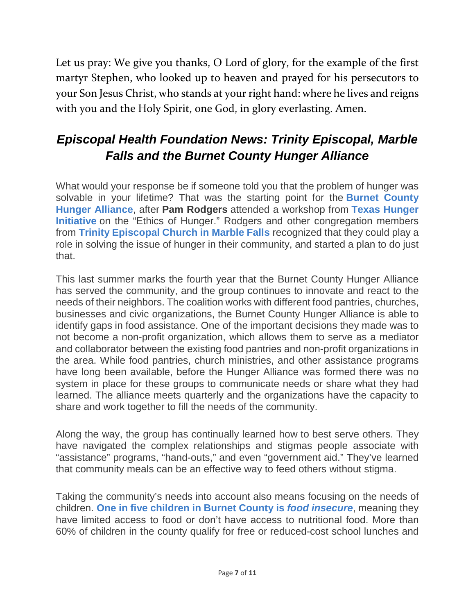Let us pray: We give you thanks, O Lord of glory, for the example of the first martyr Stephen, who looked up to heaven and prayed for his persecutors to your Son Jesus Christ, who stands at your right hand: where he lives and reigns with you and the Holy Spirit, one God, in glory everlasting. Amen.

# *Episcopal Health Foundation News: Trinity Episcopal, Marble Falls and the Burnet County Hunger Alliance*

What would your response be if someone told you that the problem of hunger was solvable in your lifetime? That was the starting point for the **Burnet [County](https://www.burnetcountyhungeralliance.org/) Hunger [Alliance](https://www.burnetcountyhungeralliance.org/)**, after **Pam Rodgers** attended a workshop from **Texas [Hunger](https://www.baylor.edu/hungerandpoverty/) [Initiative](https://www.baylor.edu/hungerandpoverty/)** on the "Ethics of Hunger." Rodgers and other congregation members from **Trinity [Episcopal](http://trinitymarblefalls.org/) Church in Marble Falls** recognized that they could play a role in solving the issue of hunger in their community, and started a plan to do just that.

This last summer marks the fourth year that the Burnet County Hunger Alliance has served the community, and the group continues to innovate and react to the needs of their neighbors. The coalition works with different food pantries, churches, businesses and civic organizations, the Burnet County Hunger Alliance is able to identify gaps in food assistance. One of the important decisions they made was to not become a non-profit organization, which allows them to serve as a mediator and collaborator between the existing food pantries and non-profit organizations in the area. While food pantries, church ministries, and other assistance programs have long been available, before the Hunger Alliance was formed there was no system in place for these groups to communicate needs or share what they had learned. The alliance meets quarterly and the organizations have the capacity to share and work together to fill the needs of the community.

Along the way, the group has continually learned how to best serve others. They have navigated the complex relationships and stigmas people associate with "assistance" programs, "hand-outs," and even "government aid." They've learned that community meals can be an effective way to feed others without stigma.

Taking the community's needs into account also means focusing on the needs of children. **One in five children in Burnet County is** *food [insecure](https://map.feedingamerica.org/county/2017/child/texas/county/burnet)*, meaning they have limited access to food or don't have access to nutritional food. More than 60% of children in the county qualify for free or reduced-cost school lunches and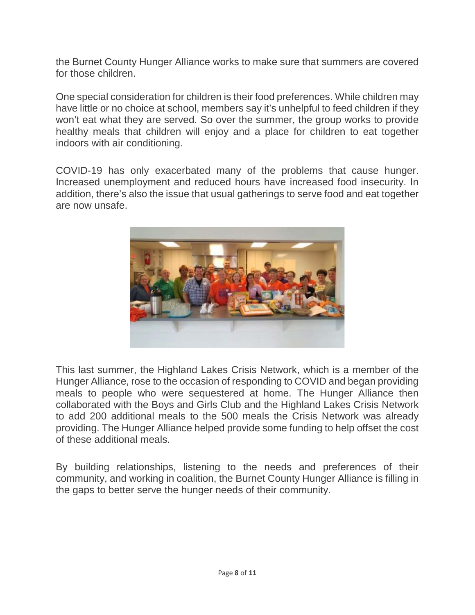the Burnet County Hunger Alliance works to make sure that summers are covered for those children.

One special consideration for children is their food preferences. While children may have little or no choice at school, members say it's unhelpful to feed children if they won't eat what they are served. So over the summer, the group works to provide healthy meals that children will enjoy and a place for children to eat together indoors with air conditioning.

COVID-19 has only exacerbated many of the problems that cause hunger. Increased unemployment and reduced hours have increased food insecurity. In addition, there's also the issue that usual gatherings to serve food and eat together are now unsafe.



This last summer, the Highland Lakes Crisis Network, which is a member of the Hunger Alliance, rose to the occasion of responding to COVID and began providing meals to people who were sequestered at home. The Hunger Alliance then collaborated with the Boys and Girls Club and the Highland Lakes Crisis Network to add 200 additional meals to the 500 meals the Crisis Network was already providing. The Hunger Alliance helped provide some funding to help offset the cost of these additional meals.

By building relationships, listening to the needs and preferences of their community, and working in coalition, the Burnet County Hunger Alliance is filling in the gaps to better serve the hunger needs of their community.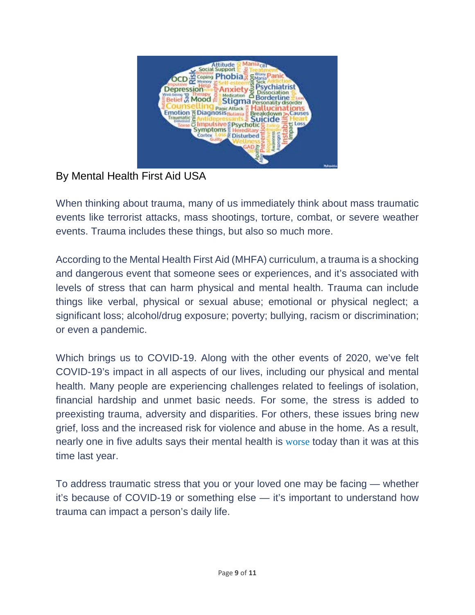

#### By Mental Health First Aid USA

When thinking about trauma, many of us immediately think about mass traumatic events like terrorist attacks, mass shootings, torture, combat, or severe weather events. Trauma includes these things, but also so much more.

According to the Mental Health First Aid (MHFA) curriculum, a trauma is a shocking and dangerous event that someone sees or experiences, and it's associated with levels of stress that can harm physical and mental health. Trauma can include things like verbal, physical or sexual abuse; emotional or physical neglect; a significant loss; alcohol/drug exposure; poverty; bullying, racism or discrimination; or even a pandemic.

Which brings us to COVID-19. Along with the other events of 2020, we've felt COVID-19's impact in all aspects of our lives, including our physical and mental health. Many people are experiencing challenges related to feelings of isolation, financial hardship and unmet basic needs. For some, the stress is added to preexisting trauma, adversity and disparities. For others, these issues bring new grief, loss and the increased risk for violence and abuse in the home. As a result, nearly one in five adults says their mental health is [worse](https://www.apa.org/news/press/releases/stress) today than it was at this time last year.

To address traumatic stress that you or your loved one may be facing — whether it's because of COVID-19 or something else — it's important to understand how trauma can impact a person's daily life.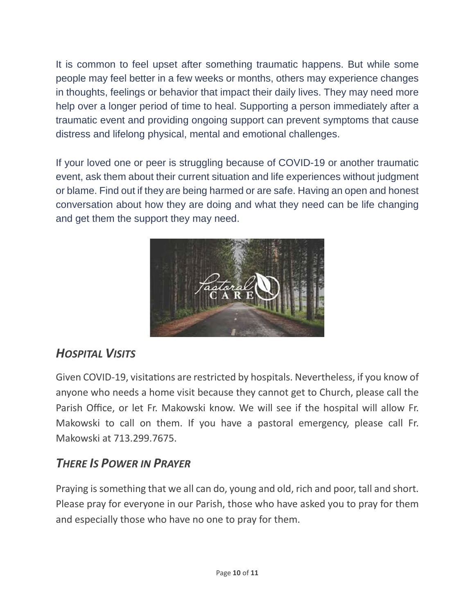It is common to feel upset after something traumatic happens. But while some people may feel better in a few weeks or months, others may experience changes in thoughts, feelings or behavior that impact their daily lives. They may need more help over a longer period of time to heal. Supporting a person immediately after a traumatic event and providing ongoing support can prevent symptoms that cause distress and lifelong physical, mental and emotional challenges.

If your loved one or peer is struggling because of COVID-19 or another traumatic event, ask them about their current situation and life experiences without judgment or blame. Find out if they are being harmed or are safe. Having an open and honest conversation about how they are doing and what they need can be life changing and get them the support they may need.



## *HOSPITAL VISITS*

Given COVID-19, visitations are restricted by hospitals. Nevertheless, if you know of anyone who needs a home visit because they cannot get to Church, please call the Parish Office, or let Fr. Makowski know. We will see if the hospital will allow Fr. Makowski to call on them. If you have a pastoral emergency, please call Fr. Makowski at 713.299.7675.

#### *THERE IS POWER IN PRAYER*

Praying is something that we all can do, young and old, rich and poor, tall and short. Please pray for everyone in our Parish, those who have asked you to pray for them and especially those who have no one to pray for them.